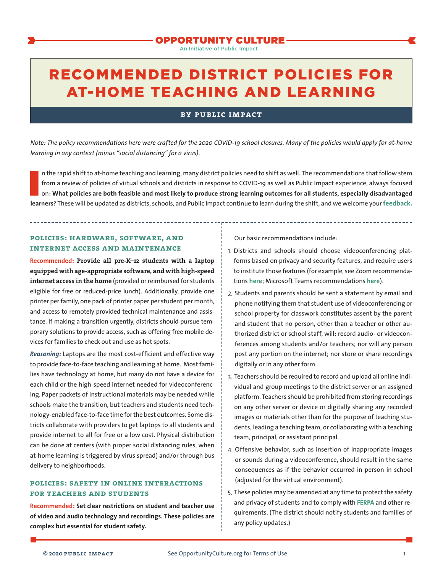An Initiative of Public Impact

# RECOMMENDED DISTRICT POLICIES FOR AT-HOME TEACHING AND LEARNING

#### **by public impact**

*Note: The policy recommendations here were crafted for the 2020 COVID-19 school closures. Many of the policies would apply for at-home learning in any context (minus "social distancing" for a virus).* 

In the rapid shift to at-home teaching and learning, many district policies need to shift as well. The recommendations that follow stem<br>from a review of policies of virtual schools and districts in response to COVID-19 as n the rapid shift to at-home teaching and learning, many district policies need to shift as well. The recommendations that follow stem from a review of policies of virtual schools and districts in response to COVID-19 as well as Public Impact experience, always focused on: **What policies are both feasible and most likely to produce strong learning outcomes for all students, especially disadvantaged** 

## **policies: hardware, software, and internet access and maintenance**

**Recommended: Provide all pre-K–12 students with a laptop equipped with age-appropriate software, and with high-speed internet access in the home** (provided or reimbursed for students eligible for free or reduced-price lunch). Additionally, provide one printer per family, one pack of printer paper per student per month, and access to remotely provided technical maintenance and assistance. If making a transition urgently, districts should pursue temporary solutions to provide access, such as offering free mobile devices for families to check out and use as hot spots.

*Reasoning:* Laptops are the most cost-efficient and effective way to provide face-to-face teaching and learning at home. Mostfamilies have technology at home, but many do not have a device for each child or the high-speed internet needed for videoconferencing. Paper packets of instructional materials may be needed while schools make the transition, but teachers and students need technology-enabled face-to-face time forthe best outcomes. Some districts collaborate with providers to get laptops to all students and provide internet to all for free or a low cost. Physical distribution can be done at centers (with proper social distancing rules, when at-home learning is triggered by virus spread) and/or through bus delivery to neighborhoods.

## **policies: safety in online interactions for teachers and students**

**Recommended: Set clear restrictions on student and teacher use of video and audio technology and recordings. These policies are complex but essential for student safety.**

Our basic recommendations include:

- 1. Districts and schools should choose videoconferencing platforms based on privacy and security features, and require users to institute those features (for example, see Zoom recommendations **[here](https://blog.zoom.us/wordpress/2020/03/27/best-practices-for-securing-your-virtual-classroom/)**; Microsoft Teams recommendations **[here](https://support.office.com/en-us/article/keeping-students-safe-while-using-meetings-in-teams-for-distance-learning-f00fa399-0473-4d31-ab72-644c137e11c8?ui=en-US&rs=en-US&ad=US)**).
- 2. Students and parents should be sent a statement by email and phone notifying them that student use of videoconferencing or school property for classwork constitutes assent by the parent and student that no person, other than a teacher or other authorized district or school staff, will: record audio- or videoconferences among students and/or teachers; nor will any person post any portion on the internet; nor store or share recordings digitally or in any other form.
- 3. Teachers should be required to record and upload all online individual and group meetings to the district server or an assigned platform. Teachers should be prohibited from storing recordings on any other server or device or digitally sharing any recorded images or materials other than for the purpose of teaching students, leading a teaching team, or collaborating with a teaching team, principal, or assistant principal.
- 4. Offensive behavior, such as insertion of inappropriate images or sounds during a videoconference, should result in the same consequences as if the behavior occurred in person in school (adjusted for the virtual environment).
- 5. These policies may be amended at any time to protect the safety and privacy of students and to comply with **[FERPA](https://www2.ed.gov/policy/gen/guid/fpco/ferpa/index.html)** and other requirements. (The district should notify students and families of any policy updates.)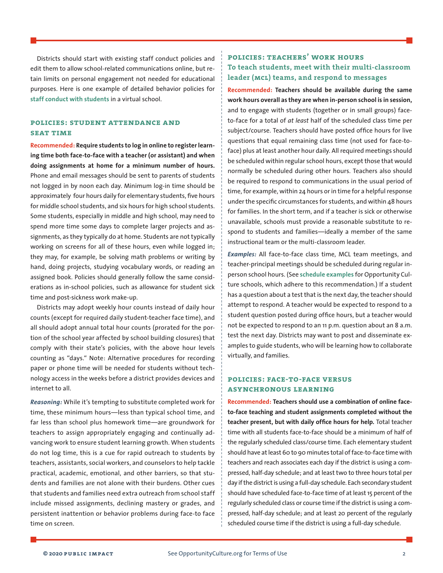Districts should start with existing staff conduct policies and edit them to allow school-related communications online, but retain limits on personal engagement not needed for educational purposes. Here is one example of detailed behavior policies for **[staff conduct with students](https://1wqhn31rem8k4b1wpl463ci2-wpengine.netdna-ssl.com/wp-content/uploads/2019/09/Staff-Conduct-with-Students.pdf)** in a virtual school.

## **policies: student attendance and SEAT TIME**

**Recommended: Require students to log in online to register learning time both face-to-face with a teacher (or assistant) and when doing assignments at home for a minimum number of hours.**  Phone and email messages should be sent to parents of students not logged in by noon each day. Minimum log-in time should be approximately four hours daily for elementary students, five hours for middle school students, and six hours for high school students. Some students, especially in middle and high school, may need to spend more time some days to complete larger projects and assignments, as they typically do at home. Students are not typically working on screens for all of these hours, even while logged in; they may, for example, be solving math problems or writing by hand, doing projects, studying vocabulary words, or reading an assigned book. Policies should generally follow the same considerations as in-school policies, such as allowance for student sick time and post-sickness work make-up.

Districts may adopt weekly hour counts instead of daily hour counts (except for required daily student-teacher face time), and all should adopt annual total hour counts (prorated for the portion of the school year affected by school building closures) that comply with their state's policies, with the above hour levels counting as "days." Note: Alternative procedures for recording paper or phone time will be needed for students without technology access in the weeks before a district provides devices and internet to all.

*Reasoning:* While it's tempting to substitute completed work for time, these minimum hours—less than typical school time, and far less than school plus homework time—are groundwork for teachers to assign appropriately engaging and continually advancing work to ensure student learning growth. When students do not log time, this is a cue for rapid outreach to students by teachers, assistants, social workers, and counselors to help tackle practical, academic, emotional, and other barriers, so that students and families are not alone with their burdens. Other cues that students and families need extra outreach from school staff include missed assignments, declining mastery or grades, and persistent inattention or behavior problems during face-to face time on screen.

# **policies: teachers' work hours To teach students, meet with their multi-classroom leader (mcl) teams, and respond to messages**

**Recommended: Teachers should be available during the same work hours overall as they are when in-person school is in session,** and to engage with students (together or in small groups) faceto-face for a total of *at least* half of the scheduled class time per subject/course. Teachers should have posted office hours for live questions that equal remaining class time (not used for face-toface) plus at least another hour daily. All required meetings should be scheduled within regular school hours, except those that would normally be scheduled during other hours. Teachers also should be required to respond to communications in the usual period of time, for example, within 24 hours or in time for a helpful response under the specific circumstances for students, and within 48 hours for families. In the short term, and if a teacher is sick or otherwise unavailable, schools must provide a reasonable substitute to respond to students and families—ideally a member of the same instructional team or the multi-classroom leader.

*Examples:* All face-to-face class time, MCL team meetings, and teacher-principal meetings should be scheduled during regular inperson school hours. (See **[schedule examples](https://www.opportunityculture.org/multi-classroom-leadership/)** for Opportunity Culture schools, which adhere to this recommendation.) If a student has a question about a test that is the next day, the teacher should attempt to respond. A teacher would be expected to respond to a student question posted during office hours, but a teacher would not be expected to respond to an 11 p.m. question about an 8 a.m. test the next day. Districts may want to post and disseminate examples to guide students, who will be learning how to collaborate virtually, and families.

### **policies: face-to-face versus asynchronous learning**

**Recommended: Teachers should use a combination of online faceto-face teaching and student assignments completed without the teacher present, but with daily office hours for help.** Total teacher time with all students face-to-face should be a minimum of half of the regularly scheduled class/course time. Each elementary student should have at least 60 to 90 minutes total of face-to-face time with teachers and reach associates each day if the district is using a compressed, half-day schedule; and at least two to three hours total per day if the district is using a full-day schedule. Each secondary student should have scheduled face-to-face time of at least 15 percent of the regularly scheduled class or course time if the district is using a compressed, half-day schedule; and at least 20 percent of the regularly scheduled course time if the district is using a full-day schedule.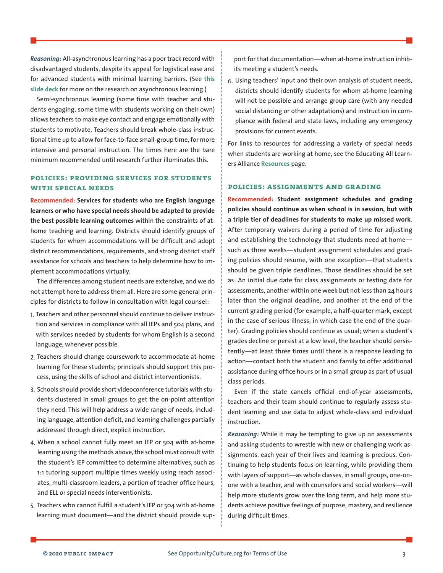*Reasoning:* All-asynchronous learning has a poor track record with disadvantaged students, despite its appeal for logistical ease and for advanced students with minimal learning barriers. (See **[this](https://www.opportunityculture.org/wp-content/uploads/2020/03/Multi-Classroom_Leadership_When_Students_and_Teachers_Are_at_Home_Slide_Deck-Public_Impact.pdf) [slide deck](https://www.opportunityculture.org/wp-content/uploads/2020/03/Multi-Classroom_Leadership_When_Students_and_Teachers_Are_at_Home_Slide_Deck-Public_Impact.pdf)** for more on the research on asynchronous learning.)

Semi-synchronous learning (some time with teacher and students engaging, some time with students working on their own) allows teachers to make eye contact and engage emotionally with students to motivate. Teachers should break whole-class instructional time up to allow for face-to-face small-group time, for more intensive and personal instruction. The times here are the bare minimum recommended until research further illuminates this.

#### **policies: providing services for students with special needs**

**Recommended: Services for students who are English language learners or who have special needs should be adapted to provide the best possible learning outcomes** within the constraints of athome teaching and learning. Districts should identify groups of students for whom accommodations will be difficult and adopt district recommendations, requirements, and strong district staff assistance for schools and teachers to help determine how to implement accommodations virtually.

The differences among student needs are extensive, and we do not attempt here to address them all. Here are some general principles for districts to follow in consultation with legal counsel:

- 1. Teachers and other personnel should continue to deliver instruction and services in compliance with all IEPs and 504 plans, and with services needed by students for whom English is a second language, whenever possible.
- 2. Teachers should change coursework to accommodate at-home learning for these students; principals should support this process, using the skills of school and district interventionists.
- 3. Schools should provide short videoconference tutorials with students clustered in small groups to get the on-point attention they need. This will help address a wide range of needs, including language, attention deficit, and learning challenges partially addressed through direct, explicit instruction.
- 4. When a school cannot fully meet an IEP or 504 with at-home learning using the methods above, the school must consult with the student's IEP committee to determine alternatives, such as 1:1 tutoring support multiple times weekly using reach associates, multi-classroom leaders, a portion of teacher office hours, and ELL or special needs interventionists.
- 5. Teachers who cannot fulfill a student's IEP or 504 with at-home learning must document—and the district should provide sup-

port for that documentation—when at-home instruction inhibits meeting a student's needs.

6. Using teachers' input and their own analysis of student needs, districts should identify students for whom at-home learning will not be possible and arrange group care (with any needed social distancing or other adaptations) and instruction in compliance with federal and state laws, including any emergency provisions for current events.

For links to resources for addressing a variety of special needs when students are working at home, see the Educating All Learners Alliance **[Resources](https://www.educatingalllearners.org/educator-resources)** page.

#### **policies: assignments and grading**

**Recommended: Student assignment schedules and grading policies should continue as when school is in session, but with a triple tier of deadlines for students to make up missed work**. After temporary waivers during a period of time for adjusting and establishing the technology that students need at home such as three weeks—student assignment schedules and grading policies should resume, with one exception—that students should be given triple deadlines. Those deadlines should be set as: An initial due date for class assignments or testing date for assessments, another within one week but not less than 24 hours later than the original deadline, and another at the end of the current grading period (for example, a half-quarter mark, except in the case of serious illness, in which case the end of the quarter). Grading policies should continue as usual; when a student's grades decline or persist at a low level, the teacher should persistently—at least three times until there is a response leading to action—contact both the student and family to offer additional assistance during office hours or in a small group as part of usual class periods.

Even if the state cancels official end-of-year assessments, teachers and their team should continue to regularly assess student learning and use data to adjust whole-class and individual instruction.

*Reasoning:* While it may be tempting to give up on assessments and asking students to wrestle with new or challenging work assignments, each year of their lives and learning is precious. Continuing to help students focus on learning, while providing them with layers of support—as whole classes, in small groups, one-onone with a teacher, and with counselors and social workers—will help more students grow over the long term, and help more students achieve positive feelings of purpose, mastery, and resilience during difficult times.